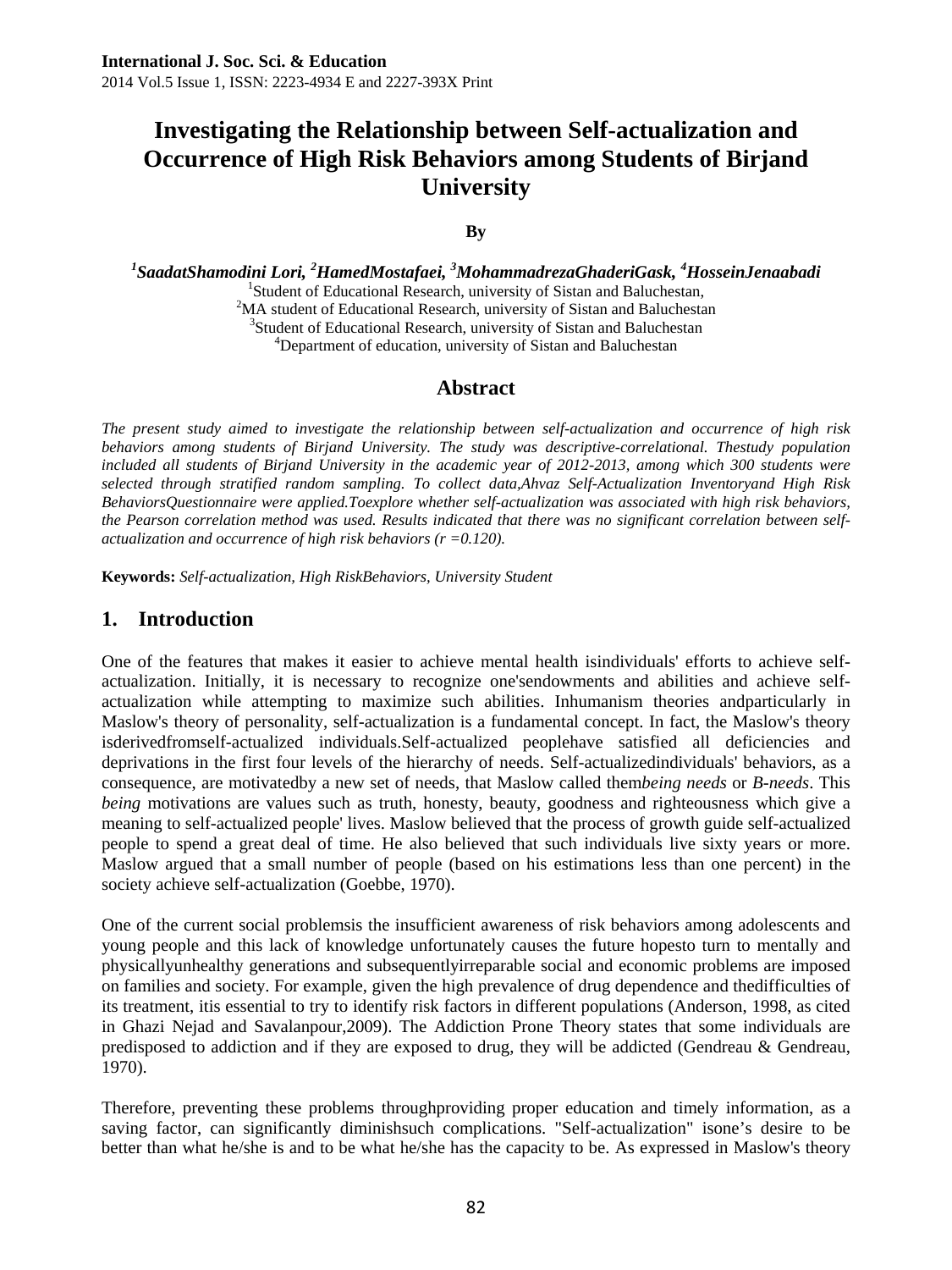# **Investigating the Relationship between Self-actualization and Occurrence of High Risk Behaviors among Students of Birjand University**

#### **By**

*1 SaadatShamodini Lori, 2 HamedMostafaei, <sup>3</sup> MohammadrezaGhaderiGask, <sup>4</sup> HosseinJenaabadi* <sup>1</sup>

<sup>1</sup>Student of Educational Research, university of Sistan and Baluchestan,  $2<sup>2</sup>MA$  student of Educational Research, university of Sistan and Baluchestan <sup>3</sup>Student of Educational Research, university of Sistan and Baluchestan <sup>4</sup>Department of education, university of Sistan and Baluchestan

### **Abstract**

*The present study aimed to investigate the relationship between self-actualization and occurrence of high risk behaviors among students of Birjand University. The study was descriptive-correlational. Thestudy population included all students of Birjand University in the academic year of 2012-2013, among which 300 students were selected through stratified random sampling. To collect data,Ahvaz Self-Actualization Inventoryand High Risk BehaviorsQuestionnaire were applied.Toexplore whether self-actualization was associated with high risk behaviors, the Pearson correlation method was used. Results indicated that there was no significant correlation between selfactualization and occurrence of high risk behaviors (r =0.120).* 

**Keywords:** *Self-actualization, High RiskBehaviors, University Student* 

### **1. Introduction**

One of the features that makes it easier to achieve mental health isindividuals' efforts to achieve selfactualization. Initially, it is necessary to recognize one'sendowments and abilities and achieve selfactualization while attempting to maximize such abilities. Inhumanism theories andparticularly in Maslow's theory of personality, self-actualization is a fundamental concept. In fact, the Maslow's theory isderivedfromself-actualized individuals.Self-actualized peoplehave satisfied all deficiencies and deprivations in the first four levels of the hierarchy of needs. Self-actualizedindividuals' behaviors, as a consequence, are motivatedby a new set of needs, that Maslow called them*being needs* or *B-needs*. This *being* motivations are values such as truth, honesty, beauty, goodness and righteousness which give a meaning to self-actualized people' lives. Maslow believed that the process of growth guide self-actualized people to spend a great deal of time. He also believed that such individuals live sixty years or more. Maslow argued that a small number of people (based on his estimations less than one percent) in the society achieve self-actualization (Goebbe, 1970).

One of the current social problemsis the insufficient awareness of risk behaviors among adolescents and young people and this lack of knowledge unfortunately causes the future hopesto turn to mentally and physicallyunhealthy generations and subsequentlyirreparable social and economic problems are imposed on families and society. For example, given the high prevalence of drug dependence and thedifficulties of its treatment, itis essential to try to identify risk factors in different populations (Anderson, 1998, as cited in Ghazi Nejad and Savalanpour,2009). The Addiction Prone Theory states that some individuals are predisposed to addiction and if they are exposed to drug, they will be addicted (Gendreau & Gendreau, 1970).

Therefore, preventing these problems throughproviding proper education and timely information, as a saving factor, can significantly diminishsuch complications. "Self-actualization" isone's desire to be better than what he/she is and to be what he/she has the capacity to be. As expressed in Maslow's theory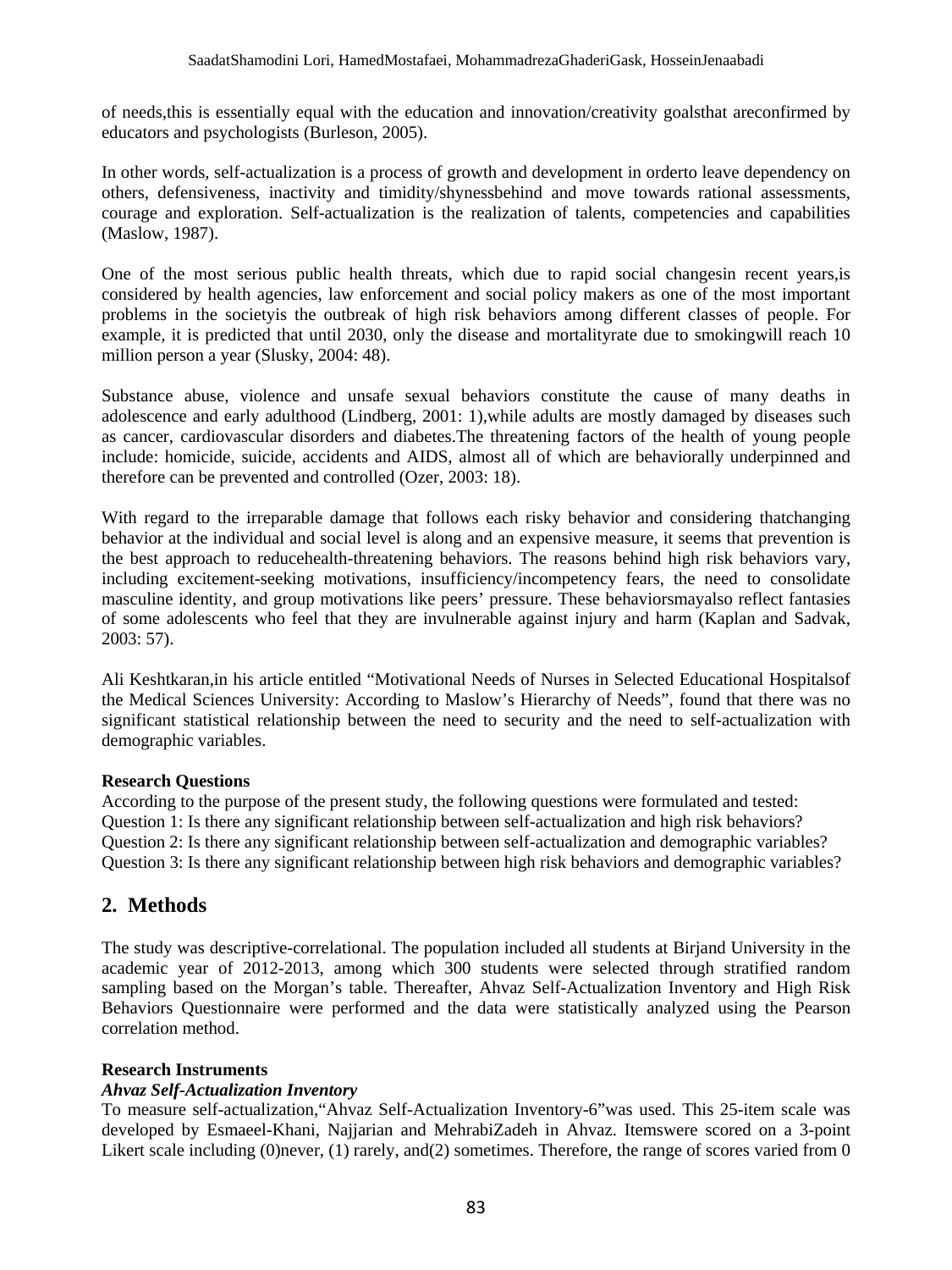of needs,this is essentially equal with the education and innovation/creativity goalsthat areconfirmed by educators and psychologists (Burleson, 2005).

In other words, self-actualization is a process of growth and development in orderto leave dependency on others, defensiveness, inactivity and timidity/shynessbehind and move towards rational assessments, courage and exploration. Self-actualization is the realization of talents, competencies and capabilities (Maslow, 1987).

One of the most serious public health threats, which due to rapid social changesin recent years,is considered by health agencies, law enforcement and social policy makers as one of the most important problems in the societyis the outbreak of high risk behaviors among different classes of people. For example, it is predicted that until 2030, only the disease and mortalityrate due to smokingwill reach 10 million person a year (Slusky, 2004: 48).

Substance abuse, violence and unsafe sexual behaviors constitute the cause of many deaths in adolescence and early adulthood (Lindberg, 2001: 1),while adults are mostly damaged by diseases such as cancer, cardiovascular disorders and diabetes.The threatening factors of the health of young people include: homicide, suicide, accidents and AIDS, almost all of which are behaviorally underpinned and therefore can be prevented and controlled (Ozer, 2003: 18).

With regard to the irreparable damage that follows each risky behavior and considering thatchanging behavior at the individual and social level is along and an expensive measure, it seems that prevention is the best approach to reducehealth-threatening behaviors. The reasons behind high risk behaviors vary, including excitement-seeking motivations, insufficiency/incompetency fears, the need to consolidate masculine identity, and group motivations like peers' pressure. These behaviorsmayalso reflect fantasies of some adolescents who feel that they are invulnerable against injury and harm (Kaplan and Sadvak, 2003: 57).

Ali Keshtkaran,in his article entitled "Motivational Needs of Nurses in Selected Educational Hospitalsof the Medical Sciences University: According to Maslow's Hierarchy of Needs", found that there was no significant statistical relationship between the need to security and the need to self-actualization with demographic variables.

#### **Research Questions**

According to the purpose of the present study, the following questions were formulated and tested: Question 1: Is there any significant relationship between self-actualization and high risk behaviors? Question 2: Is there any significant relationship between self-actualization and demographic variables? Question 3: Is there any significant relationship between high risk behaviors and demographic variables?

### **2. Methods**

The study was descriptive-correlational. The population included all students at Birjand University in the academic year of 2012-2013, among which 300 students were selected through stratified random sampling based on the Morgan's table. Thereafter, Ahvaz Self-Actualization Inventory and High Risk Behaviors Questionnaire were performed and the data were statistically analyzed using the Pearson correlation method.

#### **Research Instruments**

#### *Ahvaz Self-Actualization Inventory*

To measure self-actualization,"Ahvaz Self-Actualization Inventory-6"was used. This 25-item scale was developed by Esmaeel-Khani, Najjarian and MehrabiZadeh in Ahvaz. Itemswere scored on a 3-point Likert scale including (0)never, (1) rarely, and(2) sometimes. Therefore, the range of scores varied from 0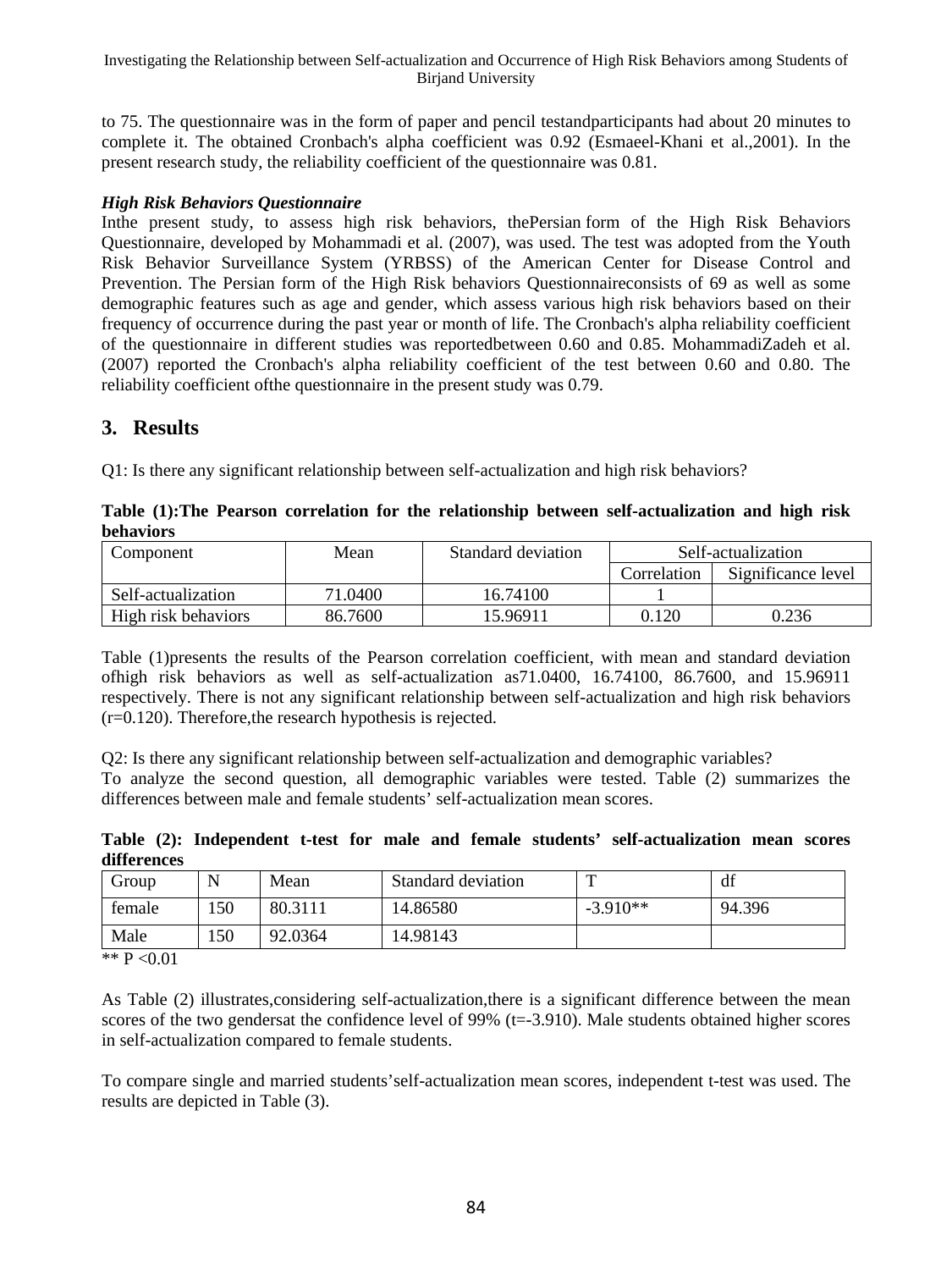to 75. The questionnaire was in the form of paper and pencil testandparticipants had about 20 minutes to complete it. The obtained Cronbach's alpha coefficient was 0.92 (Esmaeel-Khani et al.,2001). In the present research study, the reliability coefficient of the questionnaire was 0.81.

#### *High Risk Behaviors Questionnaire*

Inthe present study, to assess high risk behaviors, thePersian form of the High Risk Behaviors Questionnaire, developed by Mohammadi et al. (2007), was used. The test was adopted from the Youth Risk Behavior Surveillance System (YRBSS) of the American Center for Disease Control and Prevention. The Persian form of the High Risk behaviors Questionnaireconsists of 69 as well as some demographic features such as age and gender, which assess various high risk behaviors based on their frequency of occurrence during the past year or month of life. The Cronbach's alpha reliability coefficient of the questionnaire in different studies was reportedbetween 0.60 and 0.85. MohammadiZadeh et al. (2007) reported the Cronbach's alpha reliability coefficient of the test between 0.60 and 0.80. The reliability coefficient ofthe questionnaire in the present study was 0.79.

### **3. Results**

Q1: Is there any significant relationship between self-actualization and high risk behaviors?

|                   | DULLAVIOLS          |         |                    |                    |                    |  |  |  |  |
|-------------------|---------------------|---------|--------------------|--------------------|--------------------|--|--|--|--|
| Mean<br>Component |                     |         | Standard deviation | Self-actualization |                    |  |  |  |  |
|                   |                     |         |                    | Correlation        | Significance level |  |  |  |  |
|                   | Self-actualization  | 71.0400 | 16.74100           |                    |                    |  |  |  |  |
|                   | High risk behaviors | 86.7600 | 15.96911           | 0.120              | 0.236              |  |  |  |  |

**Table (1):The Pearson correlation for the relationship between self-actualization and high risk behaviors** 

Table (1)presents the results of the Pearson correlation coefficient, with mean and standard deviation ofhigh risk behaviors as well as self-actualization as71.0400, 16.74100, 86.7600, and 15.96911 respectively. There is not any significant relationship between self-actualization and high risk behaviors (r=0.120). Therefore,the research hypothesis is rejected.

Q2: Is there any significant relationship between self-actualization and demographic variables? To analyze the second question, all demographic variables were tested. Table (2) summarizes the differences between male and female students' self-actualization mean scores.

**Table (2): Independent t-test for male and female students' self-actualization mean scores differences** 

| Group  |     | Mean    | Standard deviation |            | df     |
|--------|-----|---------|--------------------|------------|--------|
| female | 50ء | 80.3111 | 14.86580           | $-3.910**$ | 94.396 |
| Male   | 150 | 92.0364 | 14.98143           |            |        |

\*\* P <0.01

As Table (2) illustrates,considering self-actualization,there is a significant difference between the mean scores of the two gendersat the confidence level of  $99\%$  (t=-3.910). Male students obtained higher scores in self-actualization compared to female students.

To compare single and married students'self-actualization mean scores, independent t-test was used. The results are depicted in Table (3).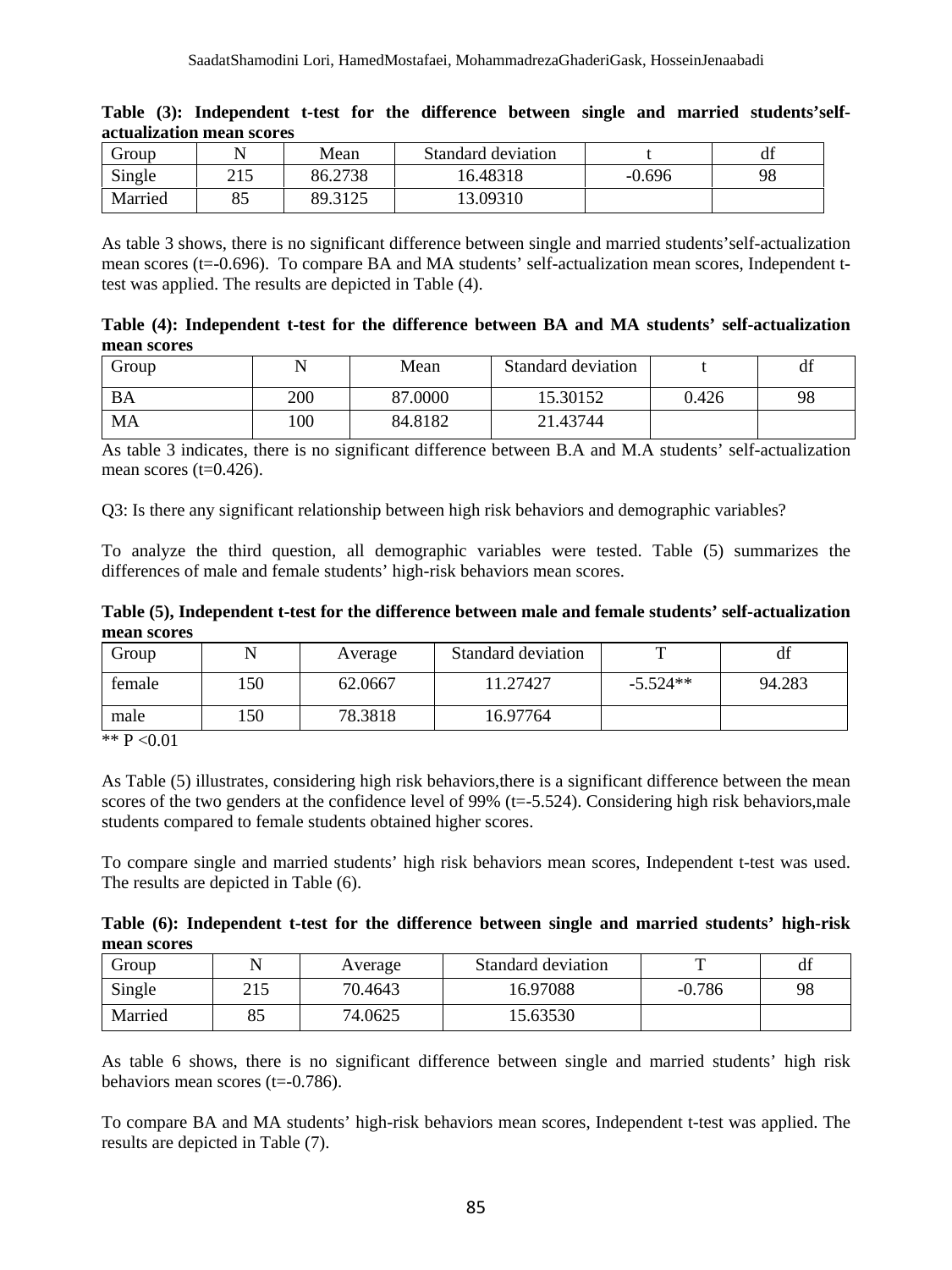| Group   |     | Mean    | Standard deviation |          | df |
|---------|-----|---------|--------------------|----------|----|
| Single  | 215 | 86.2738 | 16.48318           | $-0.696$ | 98 |
| Married | 85  | 89.3125 | 13.09310           |          |    |

|  |                           |  |  |  |  | Table (3): Independent t-test for the difference between single and married students'self- |
|--|---------------------------|--|--|--|--|--------------------------------------------------------------------------------------------|
|  | actualization mean scores |  |  |  |  |                                                                                            |

As table 3 shows, there is no significant difference between single and married students'self-actualization mean scores (t=-0.696). To compare BA and MA students' self-actualization mean scores, Independent ttest was applied. The results are depicted in Table (4).

| Table (4): Independent t-test for the difference between BA and MA students' self-actualization |  |  |  |  |  |
|-------------------------------------------------------------------------------------------------|--|--|--|--|--|
| mean scores                                                                                     |  |  |  |  |  |

| Group |     | Mean    | Standard deviation |       | df |
|-------|-----|---------|--------------------|-------|----|
| BA    | 200 | 87.0000 | 15.30152           | 0.426 | 98 |
| MA    | .00 | 84.8182 | 21.43744           |       |    |

As table 3 indicates, there is no significant difference between B.A and M.A students' self-actualization mean scores  $(t=0.426)$ .

Q3: Is there any significant relationship between high risk behaviors and demographic variables?

To analyze the third question, all demographic variables were tested. Table (5) summarizes the differences of male and female students' high-risk behaviors mean scores.

**Table (5), Independent t-test for the difference between male and female students' self-actualization mean scores** 

| Group  |     | Average | Standard deviation | m          | d1     |
|--------|-----|---------|--------------------|------------|--------|
| female | 50، | 62.0667 | 11.27427           | $-5.524**$ | 94.283 |
| male   | .50 | 78.3818 | 16.97764           |            |        |

\*\*  $P < 0.01$ 

As Table (5) illustrates, considering high risk behaviors,there is a significant difference between the mean scores of the two genders at the confidence level of 99%  $(t=5.524)$ . Considering high risk behaviors,male students compared to female students obtained higher scores.

To compare single and married students' high risk behaviors mean scores, Independent t-test was used. The results are depicted in Table (6).

| Table (6): Independent t-test for the difference between single and married students' high-risk |  |  |  |  |  |
|-------------------------------------------------------------------------------------------------|--|--|--|--|--|
| mean scores                                                                                     |  |  |  |  |  |

| Group   |     | Average | Standard deviation |          | df |
|---------|-----|---------|--------------------|----------|----|
| Single  | 219 | 70.4643 | 16.97088           | $-0.786$ | 98 |
| Married | o.  | 74.0625 | 15.63530           |          |    |

As table 6 shows, there is no significant difference between single and married students' high risk behaviors mean scores (t=-0.786).

To compare BA and MA students' high-risk behaviors mean scores, Independent t-test was applied. The results are depicted in Table (7).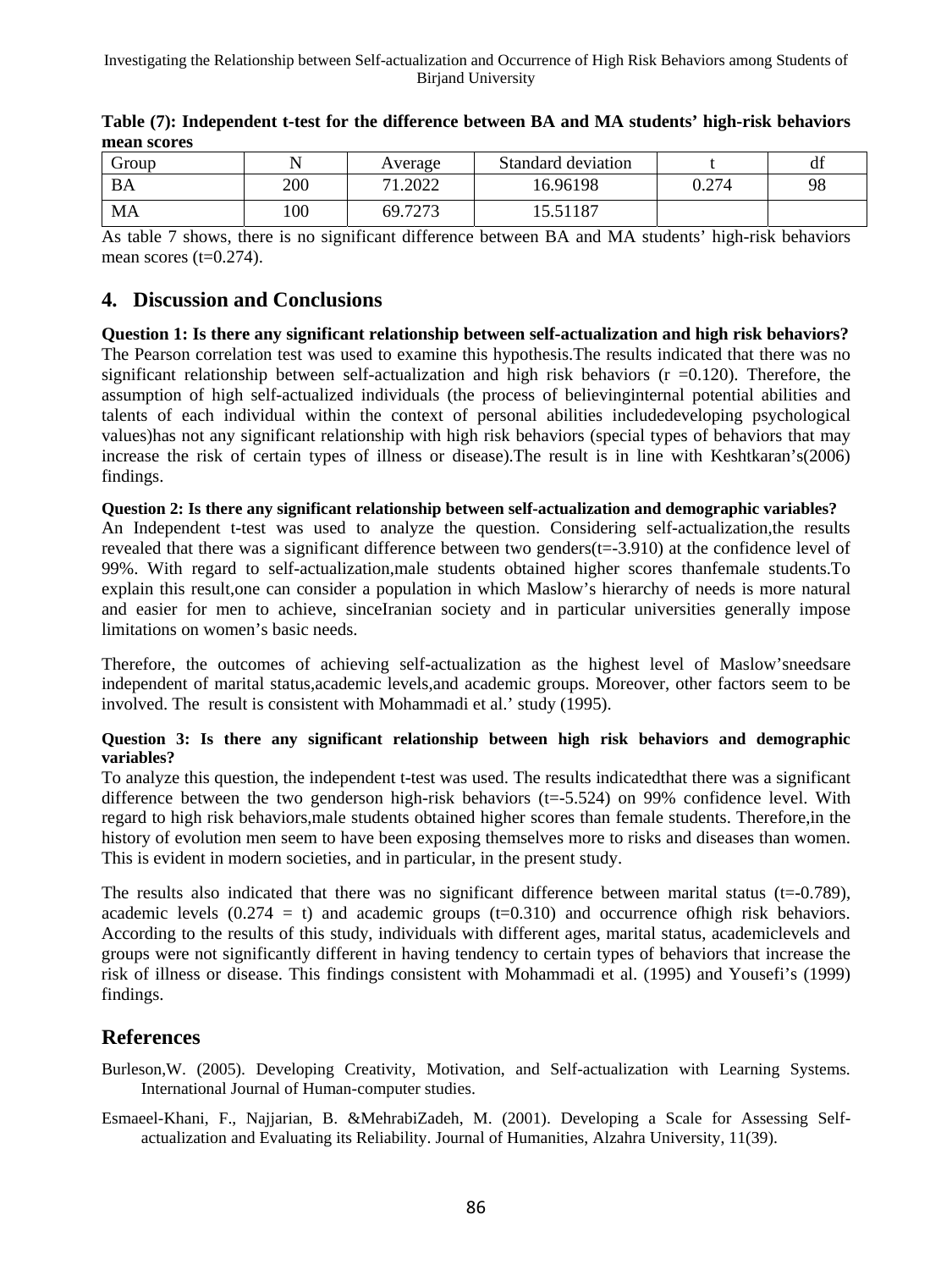| droup |     | Average      | Standard deviation |       | df |
|-------|-----|--------------|--------------------|-------|----|
| BA    | 200 | 1.2022<br>71 | 16.96198           | 0.274 | 98 |
| MA    | 100 | 69.7273      | 5.51187            |       |    |

| Table (7): Independent t-test for the difference between BA and MA students' high-risk behaviors |  |  |
|--------------------------------------------------------------------------------------------------|--|--|
| mean scores                                                                                      |  |  |

As table 7 shows, there is no significant difference between BA and MA students' high-risk behaviors mean scores  $(t=0.274)$ .

## **4. Discussion and Conclusions**

**Question 1: Is there any significant relationship between self-actualization and high risk behaviors?**  The Pearson correlation test was used to examine this hypothesis.The results indicated that there was no significant relationship between self-actualization and high risk behaviors ( $r = 0.120$ ). Therefore, the assumption of high self-actualized individuals (the process of believinginternal potential abilities and talents of each individual within the context of personal abilities includedeveloping psychological values)has not any significant relationship with high risk behaviors (special types of behaviors that may increase the risk of certain types of illness or disease).The result is in line with Keshtkaran's(2006) findings.

**Question 2: Is there any significant relationship between self-actualization and demographic variables?**  An Independent t-test was used to analyze the question. Considering self-actualization,the results revealed that there was a significant difference between two genders(t=-3.910) at the confidence level of 99%. With regard to self-actualization,male students obtained higher scores thanfemale students.To explain this result,one can consider a population in which Maslow's hierarchy of needs is more natural and easier for men to achieve, sinceIranian society and in particular universities generally impose limitations on women's basic needs.

Therefore, the outcomes of achieving self-actualization as the highest level of Maslow'sneedsare independent of marital status,academic levels,and academic groups. Moreover, other factors seem to be involved. The result is consistent with Mohammadi et al.' study (1995).

#### **Question 3: Is there any significant relationship between high risk behaviors and demographic variables?**

To analyze this question, the independent t-test was used. The results indicatedthat there was a significant difference between the two genderson high-risk behaviors (t=-5.524) on 99% confidence level. With regard to high risk behaviors,male students obtained higher scores than female students. Therefore,in the history of evolution men seem to have been exposing themselves more to risks and diseases than women. This is evident in modern societies, and in particular, in the present study.

The results also indicated that there was no significant difference between marital status ( $t=0.789$ ), academic levels  $(0.274 = t)$  and academic groups  $(t=0.310)$  and occurrence of high risk behaviors. According to the results of this study, individuals with different ages, marital status, academiclevels and groups were not significantly different in having tendency to certain types of behaviors that increase the risk of illness or disease. This findings consistent with Mohammadi et al. (1995) and Yousefi's (1999) findings.

# **References**

- Burleson,W. (2005). Developing Creativity, Motivation, and Self-actualization with Learning Systems. International Journal of Human-computer studies.
- Esmaeel-Khani, F., Najjarian, B. &MehrabiZadeh, M. (2001). Developing a Scale for Assessing Selfactualization and Evaluating its Reliability. Journal of Humanities, Alzahra University, 11(39).